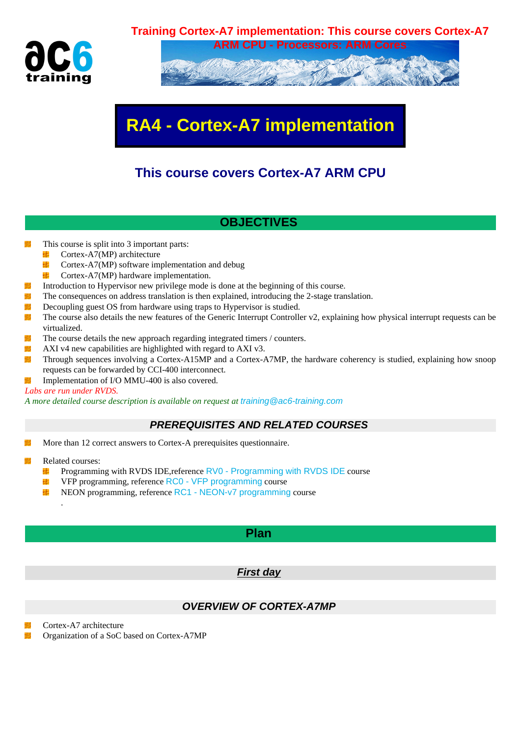

# **ARM CPU - Processors: ARM Cores**

# **RA4 - Cortex-A7 implementation**

# **This course covers Cortex-A7 ARM CPU**

# **OBJECTIVES**

- 蝉 This course is split into 3 important parts:
	- Cortex-A7(MP) architecture ¥¥.
	- Cortex-A7(MP) software implementation and debug 硉
	- 毕 Cortex-A7(MP) hardware implementation.
- 鞹 Introduction to Hypervisor new privilege mode is done at the beginning of this course.
- 鞹 The consequences on address translation is then explained, introducing the 2-stage translation.
- 鞹 Decoupling guest OS from hardware using traps to Hypervisor is studied.
- 鞹 The course also details the new features of the Generic Interrupt Controller v2, explaining how physical interrupt requests can be virtualized.
- 鞹 The course details the new approach regarding integrated timers / counters.
- 蝉 AXI v4 new capabilities are highlighted with regard to AXI v3.
- 攤 Through sequences involving a Cortex-A15MP and a Cortex-A7MP, the hardware coherency is studied, explaining how snoop requests can be forwarded by CCI-400 interconnect.
- 鞹 Implementation of I/O MMU-400 is also covered.

#### *Labs are run under RVDS.*

*A more detailed course description is available on request at* training@ac6-training.com

## **PREREQUISITES AND RELATED COURSES**

- More than 12 correct answers to Cortex-A prerequisites [questionnaire.](mailto:training@ac6-training.com)
- 攤 Related courses:

.

- Programming with RVDS IDE,reference RV0 Programming with RVDS IDE course 41
- ₩ VFP programming, reference RC0 - VFP programming course
- 4 NEON programming, reference RC1 - NEON-v7 programming course

## **[Plan](https://www.ac6-training.com/cours.php?cat=ARM&ref=RC1)**

#### **First day**

## **OVERVIEW OF CORTEX-A7MP**

Cortex-A7 architecture

蝉 Organization of a SoC based on Cortex-A7MP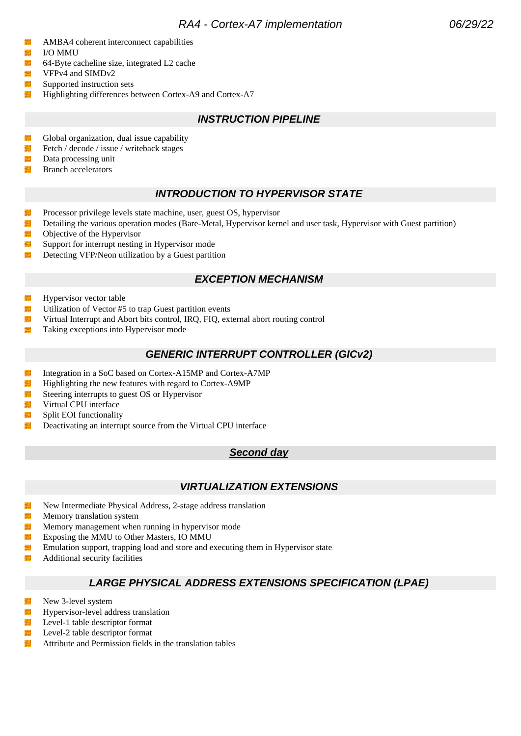- 攤 AMBA4 coherent interconnect capabilities
- 攋 I/O MMU
- 塴 64-Byte cacheline size, integrated L2 cache
- 蛐 VFPv4 and SIMDv2
- 蠩 Supported instruction sets
- 蝋 Highlighting differences between Cortex-A9 and Cortex-A7

# **INSTRUCTION PIPELINE**

- 蝿 Global organization, dual issue capability
- 鞹 Fetch / decode / issue / writeback stages
- 蝿 Data processing unit
- Branch accelerators

# **INTRODUCTION TO HYPERVISOR STATE**

- 鞹 Processor privilege levels state machine, user, guest OS, hypervisor
- 鞹 Detailing the various operation modes (Bare-Metal, Hypervisor kernel and user task, Hypervisor with Guest partition)
- 鞹 Objective of the Hypervisor
- Support for interrupt nesting in Hypervisor mode 蝿
- 蠟 Detecting VFP/Neon utilization by a Guest partition

# **EXCEPTION MECHANISM**

- 攤 Hypervisor vector table
- 鞹 Utilization of Vector #5 to trap Guest partition events
- 鯯 Virtual Interrupt and Abort bits control, IRQ, FIQ, external abort routing control
- 攤 Taking exceptions into Hypervisor mode

# **GENERIC INTERRUPT CONTROLLER (GICv2)**

- 鞹 Integration in a SoC based on Cortex-A15MP and Cortex-A7MP
- 镾 Highlighting the new features with regard to Cortex-A9MP
- 鞹 Steering interrupts to guest OS or Hypervisor
- 鞹 Virtual CPU interface
- 蠟 Split EOI functionality
- 蠟 Deactivating an interrupt source from the Virtual CPU interface

#### **Second day**

# **VIRTUALIZATION EXTENSIONS**

- New Intermediate Physical Address, 2-stage address translation 鞹
- 増 Memory translation system
- 鞹 Memory management when running in hypervisor mode
- 鞹 Exposing the MMU to Other Masters, IO MMU
- 镾 Emulation support, trapping load and store and executing them in Hypervisor state
- 塴 Additional security facilities

## **LARGE PHYSICAL ADDRESS EXTENSIONS SPECIFICATION (LPAE)**

- 镾 New 3-level system
- 塴 Hypervisor-level address translation
- 擲 Level-1 table descriptor format
- Level-2 table descriptor format 鞹
- Attribute and Permission fields in the translation tables塴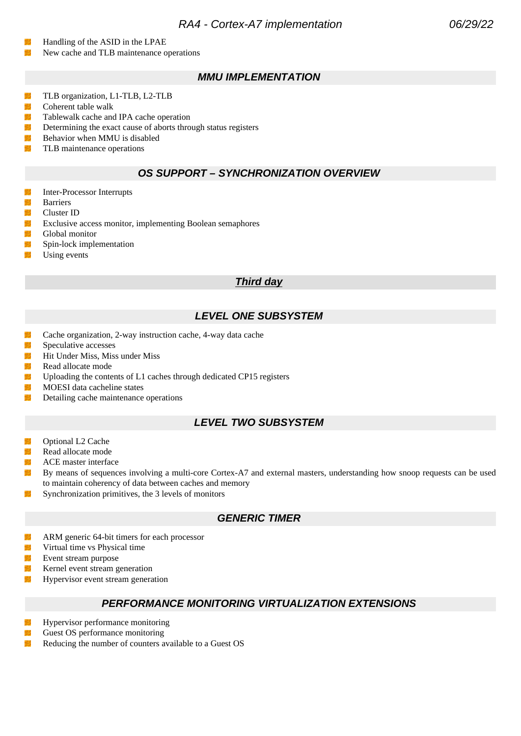## RA4 - Cortex-A7 implementation 06/29/22

- Handling of the ASID in the LPAE
- 蠟 New cache and TLB maintenance operations

#### **MMU IMPLEMENTATION**

- TLB organization, L1-TLB, L2-TLB 镾
- 翻 Coherent table walk
- 镾 Tablewalk cache and IPA cache operation
- 鯯 Determining the exact cause of aborts through status registers
- 鍿 Behavior when MMU is disabled
- 鞹 TLB maintenance operations

#### **OS SUPPORT – SYNCHRONIZATION OVERVIEW**

- 蠮 Inter-Processor Interrupts
- 塴 Barriers
- 鞹 Cluster ID
- 鞹 Exclusive access monitor, implementing Boolean semaphores
- 鞹 Global monitor
- Spin-lock implementation 蝿
- Using events

#### **Third day**

#### **LEVEL ONE SUBSYSTEM**

- Cache organization, 2-way instruction cache, 4-way data cache 鯯
- 鞹 Speculative accesses
- 鞹 Hit Under Miss, Miss under Miss
- 蠟 Read allocate mode
- 鷨 Uploading the contents of L1 caches through dedicated CP15 registers
- 鞹 MOESI data cacheline states
- 鞹 Detailing cache maintenance operations

## **LEVEL TWO SUBSYSTEM**

- 攤 Optional L2 Cache
- 蝿 Read allocate mode
- 塴 ACE master interface
- 鞹 By means of sequences involving a multi-core Cortex-A7 and external masters, understanding how snoop requests can be used to maintain coherency of data between caches and memory
- 理 Synchronization primitives, the 3 levels of monitors

#### **GENERIC TIMER**

- 壣 ARM generic 64-bit timers for each processor
- 镾 Virtual time vs Physical time
- 擲 Event stream purpose
- 蝿 Kernel event stream generation
- Hypervisor event stream generation 鞹

#### **PERFORMANCE MONITORING VIRTUALIZATION EXTENSIONS**

- 塴 Hypervisor performance monitoring
- 鞹 Guest OS performance monitoring
- 塴 Reducing the number of counters available to a Guest OS